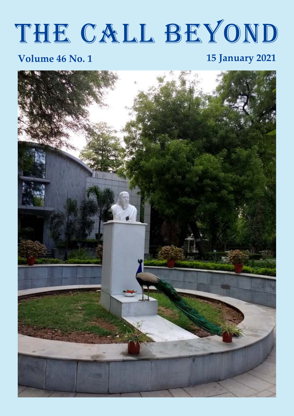# THE CALL BEYOND

#### **Volume 46 No. 1 15 January 2021**

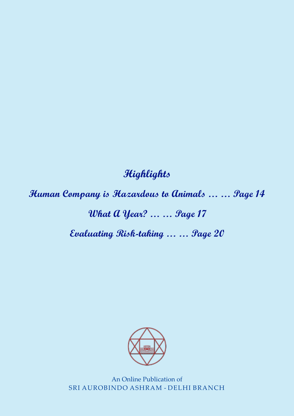#### **Highlights**

**Human Company is Hazardous to Animals … … Page 14**

# **What A Year? … … Page 17**

**Evaluating Risk-taking … … Page 20**



An Online Publication of SRI AUROBINDO ASHRAM - DELHI BRANCH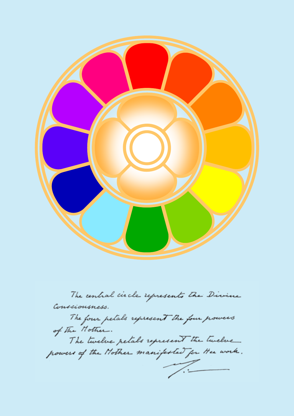

The central circle represents the Divine Consciousness.

The four petals represent the four powers of The Mother. The twelve petals represent the twelve powers of the Nother manifested for the work.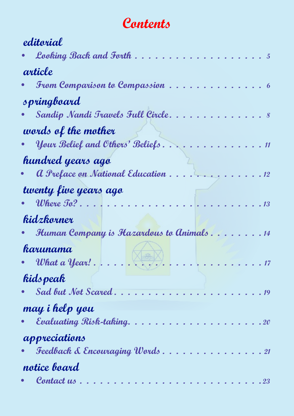# Contents

| editorial                                              |
|--------------------------------------------------------|
| <b>Looking Back and Forth.</b>                         |
| article                                                |
| From Comparison to Compassion                          |
| springboard                                            |
| Sandip Nandi Travels Full Circle.                      |
| words of the mother                                    |
| Your Belief and Others' Beliefs<br>$\boldsymbol{\eta}$ |
| hundred years ago                                      |
| a Preface on National Education.<br>12                 |
| twenty five years ago                                  |
| Where To? $\ldots$<br>13                               |
| kidzkorner                                             |
| Human Company is Hazardous to Animals14                |
| karunama                                               |
|                                                        |
| kids peak                                              |
|                                                        |
| may i help you                                         |
| · Evaluating Risk-taking20                             |
| appreciations                                          |
| Feedback & Encouraging Words21                         |
| notice board                                           |
| • Contact us<br>23                                     |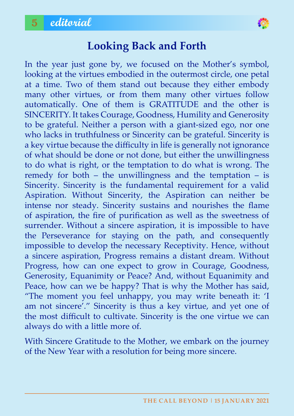

#### **looking Back and Forth**

In the year just gone by, we focused on the Mother's symbol, looking at the virtues embodied in the outermost circle, one petal at a time. Two of them stand out because they either embody many other virtues, or from them many other virtues follow automatically. One of them is GRATITUDE and the other is SINCERITY. It takes Courage, Goodness, Humility and Generosity to be grateful. Neither a person with a giant-sized ego, nor one who lacks in truthfulness or Sincerity can be grateful. Sincerity is a key virtue because the difficulty in life is generally not ignorance of what should be done or not done, but either the unwillingness to do what is right, or the temptation to do what is wrong. The remedy for both – the unwillingness and the temptation – is Sincerity. Sincerity is the fundamental requirement for a valid Aspiration. Without Sincerity, the Aspiration can neither be intense nor steady. Sincerity sustains and nourishes the flame of aspiration, the fire of purification as well as the sweetness of surrender. Without a sincere aspiration, it is impossible to have the Perseverance for staying on the path, and consequently impossible to develop the necessary Receptivity. Hence, without a sincere aspiration, Progress remains a distant dream. Without Progress, how can one expect to grow in Courage, Goodness, Generosity, Equanimity or Peace? And, without Equanimity and Peace, how can we be happy? That is why the Mother has said, "The moment you feel unhappy, you may write beneath it: 'I am not sincere'." Sincerity is thus a key virtue, and yet one of the most difficult to cultivate. Sincerity is the one virtue we can always do with a little more of.

With Sincere Gratitude to the Mother, we embark on the journey of the New Year with a resolution for being more sincere.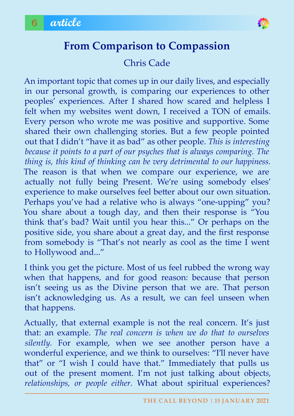

#### **From Comparison to Compassion**

#### Chris Cade

An important topic that comes up in our daily lives, and especially in our personal growth, is comparing our experiences to other peoples' experiences. After I shared how scared and helpless I felt when my websites went down, I received a TON of emails. Every person who wrote me was positive and supportive. Some shared their own challenging stories. But a few people pointed out that I didn't "have it as bad" as other people. *This is interesting because it points to a part of our psyches that is always comparing. The thing is, this kind of thinking can be very detrimental to our happiness.* The reason is that when we compare our experience, we are actually not fully being Present. We're using somebody elses' experience to make ourselves feel better about our own situation. Perhaps you've had a relative who is always "one-upping" you? You share about a tough day, and then their response is "You think that's bad? Wait until you hear this..." Or perhaps on the positive side, you share about a great day, and the first response from somebody is "That's not nearly as cool as the time I went to Hollywood and..."

I think you get the picture. Most of us feel rubbed the wrong way when that happens, and for good reason: because that person isn't seeing us as the Divine person that we are. That person isn't acknowledging us. As a result, we can feel unseen when that happens.

Actually, that external example is not the real concern. It's just that: an example. *The real concern is when we do that to ourselves silently.* For example, when we see another person have a wonderful experience, and we think to ourselves: "I'll never have that" or "I wish I could have that." Immediately that pulls us out of the present moment. I'm not just talking about object*s, relationships, or people either.* What about spiritual experiences?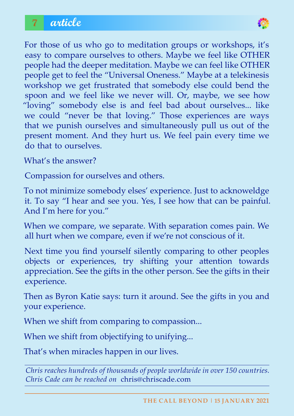

For those of us who go to meditation groups or workshops, it's easy to compare ourselves to others. Maybe we feel like OTHER people had the deeper meditation. Maybe we can feel like OTHER people get to feel the "Universal Oneness." Maybe at a telekinesis workshop we get frustrated that somebody else could bend the spoon and we feel like we never will. Or, maybe, we see how "loving" somebody else is and feel bad about ourselves... like we could "never be that loving." Those experiences are ways that we punish ourselves and simultaneously pull us out of the present moment. And they hurt us. We feel pain every time we do that to ourselves.

What's the answer?

Compassion for ourselves and others.

To not minimize somebody elses' experience. Just to acknoweldge it. To say "I hear and see you. Yes, I see how that can be painful. And I'm here for you."

When we compare, we separate. With separation comes pain. We all hurt when we compare, even if we're not conscious of it.

Next time you find yourself silently comparing to other peoples objects or experiences, try shifting your attention towards appreciation. See the gifts in the other person. See the gifts in their experience.

Then as Byron Katie says: turn it around. See the gifts in you and your experience.

When we shift from comparing to compassion...

When we shift from objectifying to unifying...

That's when miracles happen in our lives.

*Chris reaches hundreds of thousands of people worldwide in over 150 countries. Chris Cade can be reached on* chris@chriscade.com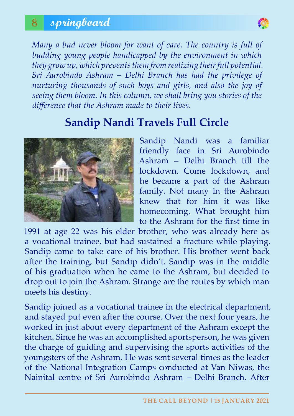### 8 **springboard**



*Many a bud never bloom for want of care. The country is full of budding young people handicapped by the environment in which they grow up, which prevents them from realizing their full potential. Sri Aurobindo Ashram – Delhi Branch has had the privilege of nurturing thousands of such boys and girls, and also the joy of seeing them bloom. In this column, we shall bring you stories of the difference that the Ashram made to their lives.*

#### **Sandip Nandi Travels Full Circle**



Sandip Nandi was a familiar friendly face in Sri Aurobindo Ashram – Delhi Branch till the lockdown. Come lockdown, and he became a part of the Ashram family. Not many in the Ashram knew that for him it was like homecoming. What brought him to the Ashram for the first time in

1991 at age 22 was his elder brother, who was already here as a vocational trainee, but had sustained a fracture while playing. Sandip came to take care of his brother. His brother went back after the training, but Sandip didn't. Sandip was in the middle of his graduation when he came to the Ashram, but decided to drop out to join the Ashram. Strange are the routes by which man meets his destiny.

Sandip joined as a vocational trainee in the electrical department, and stayed put even after the course. Over the next four years, he worked in just about every department of the Ashram except the kitchen. Since he was an accomplished sportsperson, he was given the charge of guiding and supervising the sports activities of the youngsters of the Ashram. He was sent several times as the leader of the National Integration Camps conducted at Van Niwas, the Nainital centre of Sri Aurobindo Ashram – Delhi Branch. After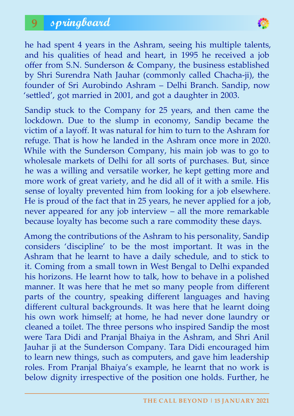

he had spent 4 years in the Ashram, seeing his multiple talents, and his qualities of head and heart, in 1995 he received a job offer from S.N. Sunderson & Company, the business established by Shri Surendra Nath Jauhar (commonly called Chacha-ji), the founder of Sri Aurobindo Ashram – Delhi Branch. Sandip, now 'settled', got married in 2001, and got a daughter in 2003.

Sandip stuck to the Company for 25 years, and then came the lockdown. Due to the slump in economy, Sandip became the victim of a layoff. It was natural for him to turn to the Ashram for refuge. That is how he landed in the Ashram once more in 2020. While with the Sunderson Company, his main job was to go to wholesale markets of Delhi for all sorts of purchases. But, since he was a willing and versatile worker, he kept getting more and more work of great variety, and he did all of it with a smile. His sense of loyalty prevented him from looking for a job elsewhere. He is proud of the fact that in 25 years, he never applied for a job, never appeared for any job interview – all the more remarkable because loyalty has become such a rare commodity these days.

Among the contributions of the Ashram to his personality, Sandip considers 'discipline' to be the most important. It was in the Ashram that he learnt to have a daily schedule, and to stick to it. Coming from a small town in West Bengal to Delhi expanded his horizons. He learnt how to talk, how to behave in a polished manner. It was here that he met so many people from different parts of the country, speaking different languages and having different cultural backgrounds. It was here that he learnt doing his own work himself; at home, he had never done laundry or cleaned a toilet. The three persons who inspired Sandip the most were Tara Didi and Pranjal Bhaiya in the Ashram, and Shri Anil Jauhar ji at the Sunderson Company. Tara Didi encouraged him to learn new things, such as computers, and gave him leadership roles. From Pranjal Bhaiya's example, he learnt that no work is below dignity irrespective of the position one holds. Further, he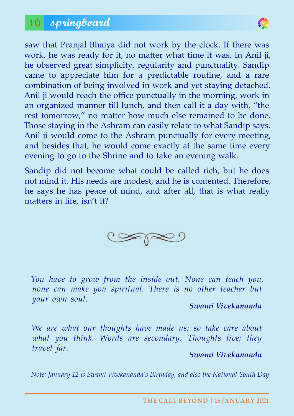

saw that Pranjal Bhaiya did not work by the clock. If there was work, he was ready for it, no matter what time it was. In Anil ji, he observed great simplicity, regularity and punctuality. Sandip came to appreciate him for a predictable routine, and a rare combination of being involved in work and yet staying detached. Anil ji would reach the office punctually in the morning, work in an organized manner till lunch, and then call it a day with, "the rest tomorrow," no matter how much else remained to be done. Those staying in the Ashram can easily relate to what Sandip says. Anil ji would come to the Ashram punctually for every meeting, and besides that, he would come exactly at the same time every evening to go to the Shrine and to take an evening walk.

Sandip did not become what could be called rich, but he does not mind it. His needs are modest, and he is contented. Therefore, he says he has peace of mind, and after all, that is what really matters in life, isn't it?



*You have to grow from the inside out. None can teach you, none can make you spiritual. There is no other teacher but your own soul.*

#### *Swami Vivekananda*

*We are what our thoughts have made us; so take care about what you think. Words are secondary. Thoughts live; they travel far.*

#### *Swami Vivekananda*

*Note: January 12 is Swami Vivekananda's Birthday, and also the National Youth Day*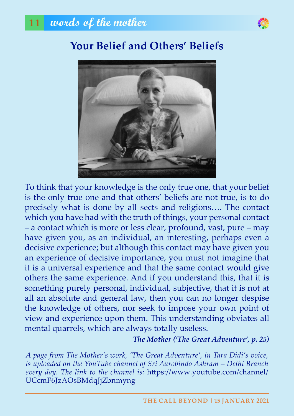

# **your Belief and others' Beliefs**



To think that your knowledge is the only true one, that your belief is the only true one and that others' beliefs are not true, is to do precisely what is done by all sects and religions…. The contact which you have had with the truth of things, your personal contact – a contact which is more or less clear, profound, vast, pure – may have given you, as an individual, an interesting, perhaps even a decisive experience; but although this contact may have given you an experience of decisive importance, you must not imagine that it is a universal experience and that the same contact would give others the same experience. And if you understand this, that it is something purely personal, individual, subjective, that it is not at all an absolute and general law, then you can no longer despise the knowledge of others, nor seek to impose your own point of view and experience upon them. This understanding obviates all mental quarrels, which are always totally useless.

*The Mother ('The Great Adventure', p. 25)*

*A page from The Mother's work, 'The Great Adventure', in Tara Didi's voice, is uploaded on the YouTube channel of Sri Aurobindo Ashram – Delhi Branch every day. The link to the channel is:* https://www.youtube.com/channel/ UCcmF6JzAOsBMdqJjZbnmyng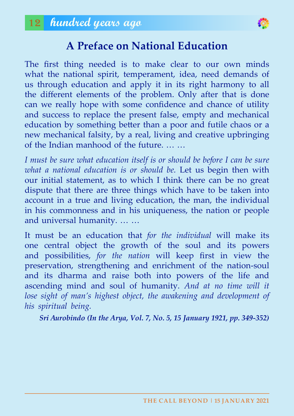

#### **a Preface on National education**

The first thing needed is to make clear to our own minds what the national spirit, temperament, idea, need demands of us through education and apply it in its right harmony to all the different elements of the problem. Only after that is done can we really hope with some confidence and chance of utility and success to replace the present false, empty and mechanical education by something better than a poor and futile chaos or a new mechanical falsity, by a real, living and creative upbringing of the Indian manhood of the future. … …

*I must be sure what education itself is or should be before I can be sure what a national education is or should be.* Let us begin then with our initial statement, as to which I think there can be no great dispute that there are three things which have to be taken into account in a true and living education, the man, the individual in his commonness and in his uniqueness, the nation or people and universal humanity. … …

It must be an education that *for the individual* will make its one central object the growth of the soul and its powers and possibilities, *for the nation* will keep first in view the preservation, strengthening and enrichment of the nation-soul and its dharma and raise both into powers of the life and ascending mind and soul of humanity. *And at no time will it*  lose sight of man's highest object, the awakening and development of *his spiritual being.*

*Sri Aurobindo (In the Arya, Vol. 7, No. 5, 15 January 1921, pp. 349-352)*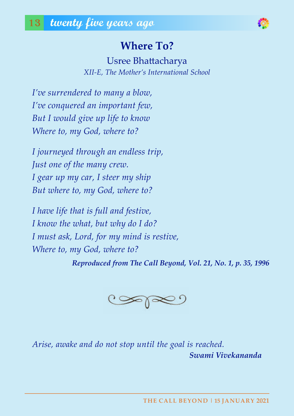### **Where To?**

Usree Bhattacharya *XII-E, The Mother's International School*

*I've surrendered to many a blow, I've conquered an important few, But I would give up life to know Where to, my God, where to?*

*I journeyed through an endless trip, Just one of the many crew. I gear up my car, I steer my ship But where to, my God, where to?*

*I have life that is full and festive, I know the what, but why do I do? I must ask, Lord, for my mind is restive, Where to, my God, where to?*

*Reproduced from The Call Beyond, Vol. 21, No. 1, p. 35, 1996*



*Arise, awake and do not stop until the goal is reached. Swami Vivekananda*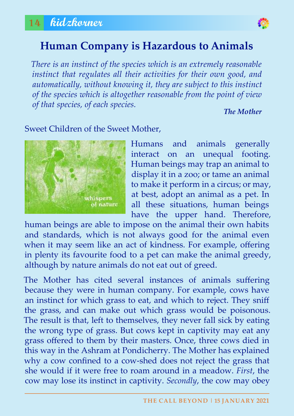

#### **Human Company is Hazardous to Animals**

*There is an instinct of the species which is an extremely reasonable instinct that regulates all their activities for their own good, and automatically, without knowing it, they are subject to this instinct of the species which is altogether reasonable from the point of view of that species, of each species.*

*The Mother*

#### Sweet Children of the Sweet Mother,



Humans and animals generally interact on an unequal footing. Human beings may trap an animal to display it in a zoo; or tame an animal to make it perform in a circus; or may, at best, adopt an animal as a pet. In all these situations, human beings have the upper hand. Therefore,

human beings are able to impose on the animal their own habits and standards, which is not always good for the animal even when it may seem like an act of kindness. For example, offering in plenty its favourite food to a pet can make the animal greedy, although by nature animals do not eat out of greed.

The Mother has cited several instances of animals suffering because they were in human company. For example, cows have an instinct for which grass to eat, and which to reject. They sniff the grass, and can make out which grass would be poisonous. The result is that, left to themselves, they never fall sick by eating the wrong type of grass. But cows kept in captivity may eat any grass offered to them by their masters. Once, three cows died in this way in the Ashram at Pondicherry. The Mother has explained why a cow confined to a cow-shed does not reject the grass that she would if it were free to roam around in a meadow. *First*, the cow may lose its instinct in captivity. *Secondly*, the cow may obey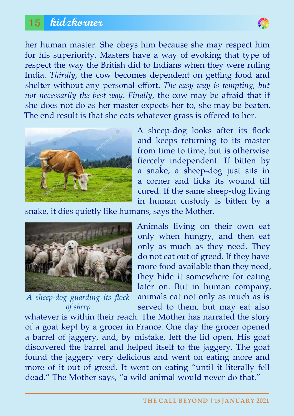#### 15 **kidzkorner**



her human master. She obeys him because she may respect him for his superiority. Masters have a way of evoking that type of respect the way the British did to Indians when they were ruling India. *Thirdly*, the cow becomes dependent on getting food and shelter without any personal effort. *The easy way is tempting, but not necessarily the best way*. *Finally*, the cow may be afraid that if she does not do as her master expects her to, she may be beaten. The end result is that she eats whatever grass is offered to her.



A sheep-dog looks after its flock and keeps returning to its master from time to time, but is otherwise fiercely independent. If bitten by a snake, a sheep-dog just sits in a corner and licks its wound till cured. If the same sheep-dog living in human custody is bitten by a

snake, it dies quietly like humans, says the Mother.



*A sheep-dog guarding its flock of sheep*

Animals living on their own eat only when hungry, and then eat only as much as they need. They do not eat out of greed. If they have more food available than they need, they hide it somewhere for eating later on. But in human company, animals eat not only as much as is served to them, but may eat also

whatever is within their reach. The Mother has narrated the story of a goat kept by a grocer in France. One day the grocer opened a barrel of jaggery, and, by mistake, left the lid open. His goat discovered the barrel and helped itself to the jaggery. The goat found the jaggery very delicious and went on eating more and more of it out of greed. It went on eating "until it literally fell dead." The Mother says, "a wild animal would never do that."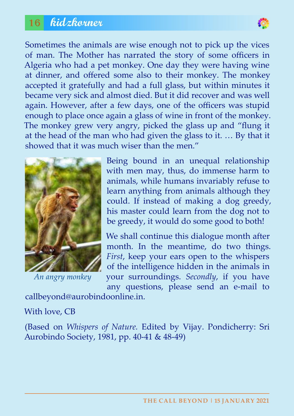#### 16 **kidzkorner**



Sometimes the animals are wise enough not to pick up the vices of man. The Mother has narrated the story of some officers in Algeria who had a pet monkey. One day they were having wine at dinner, and offered some also to their monkey. The monkey accepted it gratefully and had a full glass, but within minutes it became very sick and almost died. But it did recover and was well again. However, after a few days, one of the officers was stupid enough to place once again a glass of wine in front of the monkey. The monkey grew very angry, picked the glass up and "flung it at the head of the man who had given the glass to it. … By that it showed that it was much wiser than the men."



*An angry monkey*

Being bound in an unequal relationship with men may, thus, do immense harm to animals, while humans invariably refuse to learn anything from animals although they could. If instead of making a dog greedy, his master could learn from the dog not to be greedy, it would do some good to both!

We shall continue this dialogue month after month. In the meantime, do two things. *First*, keep your ears open to the whispers of the intelligence hidden in the animals in your surroundings. *Secondly*, if you have any questions, please send an e-mail to

callbeyond@aurobindoonline.in.

#### With love, CB

(Based on *Whispers of Nature.* Edited by Vijay. Pondicherry: Sri Aurobindo Society, 1981, pp. 40-41 & 48-49)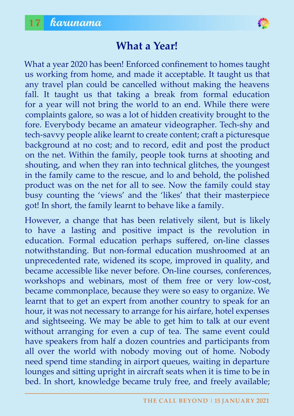

#### **What a year!**

What a year 2020 has been! Enforced confinement to homes taught us working from home, and made it acceptable. It taught us that any travel plan could be cancelled without making the heavens fall. It taught us that taking a break from formal education for a year will not bring the world to an end. While there were complaints galore, so was a lot of hidden creativity brought to the fore. Everybody became an amateur videographer. Tech-shy and tech-savvy people alike learnt to create content; craft a picturesque background at no cost; and to record, edit and post the product on the net. Within the family, people took turns at shooting and shouting, and when they ran into technical glitches, the youngest in the family came to the rescue, and lo and behold, the polished product was on the net for all to see. Now the family could stay busy counting the 'views' and the 'likes' that their masterpiece got! In short, the family learnt to behave like a family.

However, a change that has been relatively silent, but is likely to have a lasting and positive impact is the revolution in education. Formal education perhaps suffered, on-line classes notwithstanding. But non-formal education mushroomed at an unprecedented rate, widened its scope, improved in quality, and became accessible like never before. On-line courses, conferences, workshops and webinars, most of them free or very low-cost, became commonplace, because they were so easy to organize. We learnt that to get an expert from another country to speak for an hour, it was not necessary to arrange for his airfare, hotel expenses and sightseeing. We may be able to get him to talk at our event without arranging for even a cup of tea. The same event could have speakers from half a dozen countries and participants from all over the world with nobody moving out of home. Nobody need spend time standing in airport queues, waiting in departure lounges and sitting upright in aircraft seats when it is time to be in bed. In short, knowledge became truly free, and freely available;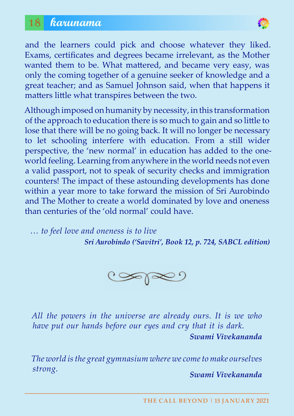#### 18 **karunama**



and the learners could pick and choose whatever they liked. Exams, certificates and degrees became irrelevant, as the Mother wanted them to be. What mattered, and became very easy, was only the coming together of a genuine seeker of knowledge and a great teacher; and as Samuel Johnson said, when that happens it matters little what transpires between the two.

Although imposed on humanity by necessity, in this transformation of the approach to education there is so much to gain and so little to lose that there will be no going back. It will no longer be necessary to let schooling interfere with education. From a still wider perspective, the 'new normal' in education has added to the oneworld feeling. Learning from anywhere in the world needs not even a valid passport, not to speak of security checks and immigration counters! The impact of these astounding developments has done within a year more to take forward the mission of Sri Aurobindo and The Mother to create a world dominated by love and oneness than centuries of the 'old normal' could have.

*… to feel love and oneness is to live Sri Aurobindo ('Savitri', Book 12, p. 724, SABCL edition)*



*All the powers in the universe are already ours. It is we who have put our hands before our eyes and cry that it is dark. Swami Vivekananda*

*The world is the great gymnasium where we come to make ourselves strong. Swami Vivekananda*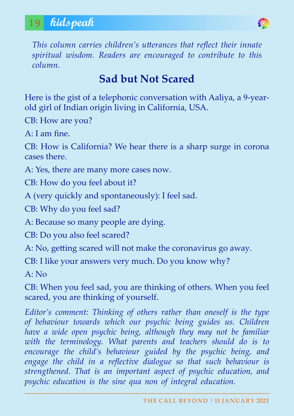### 19 **kidspeak**



*This column carries children's utterances that reflect their innate spiritual wisdom. Readers are encouraged to contribute to this column.*

# **Sad but Not Scared**

Here is the gist of a telephonic conversation with Aaliya, a 9-yearold girl of Indian origin living in California, USA.

CB: How are you?

A: I am fine.

CB: How is California? We hear there is a sharp surge in corona cases there.

A: Yes, there are many more cases now.

CB: How do you feel about it?

A (very quickly and spontaneously): I feel sad.

CB: Why do you feel sad?

A: Because so many people are dying.

CB: Do you also feel scared?

A: No, getting scared will not make the coronavirus go away.

CB: I like your answers very much. Do you know why?

 $A: No$ 

CB: When you feel sad, you are thinking of others. When you feel scared, you are thinking of yourself.

*Editor's comment: Thinking of others rather than oneself is the type of behaviour towards which our psychic being guides us. Children have a wide open psychic being, although they may not be familiar*  with the terminology. What parents and teachers should do is to *encourage the child's behaviour guided by the psychic being, and*  engage the child in a reflective dialogue so that such behaviour is *strengthened. That is an important aspect of psychic education, and psychic education is the sine qua non of integral education.*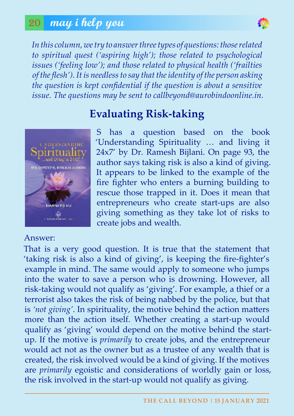#### 20 **may i help you**



*In this column, we try to answer three types of questions: those related to spiritual quest ('aspiring high'); those related to psychological issues ('feeling low'); and those related to physical health ('frailties of the flesh'). It is needless to say that the identity of the person asking the question is kept confidential if the question is about a sensitive issue. The questions may be sent to callbeyond@aurobindoonline.in.*



#### Answer:

#### **evaluating Risk-taking**

S has a question based on the book 'Understanding Spirituality … and living it 24x7' by Dr. Ramesh Bijlani. On page 93, the author says taking risk is also a kind of giving. It appears to be linked to the example of the fire fighter who enters a burning building to rescue those trapped in it. Does it mean that entrepreneurs who create start-ups are also giving something as they take lot of risks to create jobs and wealth.

That is a very good question. It is true that the statement that 'taking risk is also a kind of giving', is keeping the fire-fighter's example in mind. The same would apply to someone who jumps into the water to save a person who is drowning. However, all risk-taking would not qualify as 'giving'. For example, a thief or a terrorist also takes the risk of being nabbed by the police, but that is *'not giving'*. In spirituality, the motive behind the action matters more than the action itself. Whether creating a start-up would qualify as 'giving' would depend on the motive behind the startup. If the motive is *primarily* to create jobs, and the entrepreneur would act not as the owner but as a trustee of any wealth that is created, the risk involved would be a kind of giving. If the motives are *primarily* egoistic and considerations of worldly gain or loss, the risk involved in the start-up would not qualify as giving.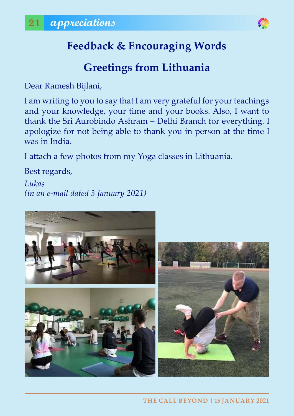

# **Feedback & Encouraging Words**

# **Greetings from lithuania**

Dear Ramesh Bijlani,

I am writing to you to say that I am very grateful for your teachings and your knowledge, your time and your books. Also, I want to thank the Sri Aurobindo Ashram – Delhi Branch for everything. I apologize for not being able to thank you in person at the time I was in India.

I attach a few photos from my Yoga classes in Lithuania.

Best regards,

*Lukas (in an e-mail dated 3 January 2021)*

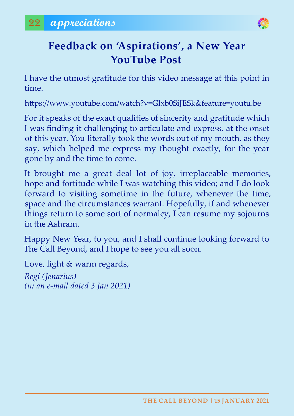

# Feedback on 'Aspirations', a New Year **youTube Post**

I have the utmost gratitude for this video message at this point in time.

https://www.youtube.com/watch?v=Glxb0SiJESk&feature=youtu.be

For it speaks of the exact qualities of sincerity and gratitude which I was finding it challenging to articulate and express, at the onset of this year. You literally took the words out of my mouth, as they say, which helped me express my thought exactly, for the year gone by and the time to come.

It brought me a great deal lot of joy, irreplaceable memories, hope and fortitude while I was watching this video; and I do look forward to visiting sometime in the future, whenever the time, space and the circumstances warrant. Hopefully, if and whenever things return to some sort of normalcy, I can resume my sojourns in the Ashram.

Happy New Year, to you, and I shall continue looking forward to The Call Beyond, and I hope to see you all soon.

Love, light & warm regards,

*Regi (Jenarius) (in an e-mail dated 3 Jan 2021)*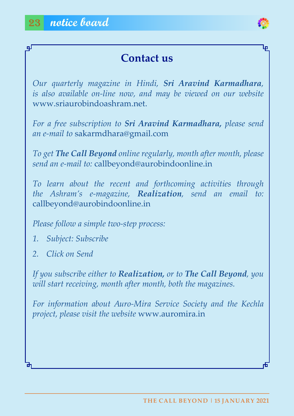டி



#### **Contact us**

*Our quarterly magazine in Hindi, Sri Aravind Karmadhara, is also available on-line now, and may be viewed on our website*  www.sriaurobindoashram.net.

*For a free subscription to Sri Aravind Karmadhara, please send an e-mail to* sakarmdhara@gmail.com

*To get The Call Beyond online regularly, month after month, please send an e-mail to:* callbeyond@aurobindoonline.in

*To learn about the recent and forthcoming activities through the Ashram's e-magazine, Realization, send an email to:* callbeyond@aurobindoonline.in

*Please follow a simple two-step process:*

*1. Subject: Subscribe*

*2. Click on Send*

*If you subscribe either to Realization, or to The Call Beyond, you will start receiving, month after month, both the magazines.*

*For information about Auro-Mira Service Society and the Kechla project, please visit the website* www.auromira.in